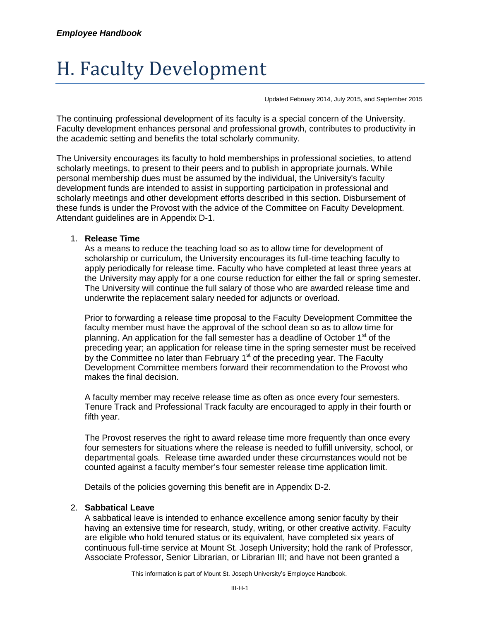# H. Faculty Development

Updated February 2014, July 2015, and September 2015

The continuing professional development of its faculty is a special concern of the University. Faculty development enhances personal and professional growth, contributes to productivity in the academic setting and benefits the total scholarly community.

The University encourages its faculty to hold memberships in professional societies, to attend scholarly meetings, to present to their peers and to publish in appropriate journals. While personal membership dues must be assumed by the individual, the University's faculty development funds are intended to assist in supporting participation in professional and scholarly meetings and other development efforts described in this section. Disbursement of these funds is under the Provost with the advice of the Committee on Faculty Development. Attendant guidelines are in Appendix D-1.

#### 1. **Release Time**

As a means to reduce the teaching load so as to allow time for development of scholarship or curriculum, the University encourages its full-time teaching faculty to apply periodically for release time. Faculty who have completed at least three years at the University may apply for a one course reduction for either the fall or spring semester. The University will continue the full salary of those who are awarded release time and underwrite the replacement salary needed for adjuncts or overload.

Prior to forwarding a release time proposal to the Faculty Development Committee the faculty member must have the approval of the school dean so as to allow time for planning. An application for the fall semester has a deadline of October 1<sup>st</sup> of the preceding year; an application for release time in the spring semester must be received by the Committee no later than February 1<sup>st</sup> of the preceding year. The Faculty Development Committee members forward their recommendation to the Provost who makes the final decision.

A faculty member may receive release time as often as once every four semesters. Tenure Track and Professional Track faculty are encouraged to apply in their fourth or fifth year.

The Provost reserves the right to award release time more frequently than once every four semesters for situations where the release is needed to fulfill university, school, or departmental goals. Release time awarded under these circumstances would not be counted against a faculty member's four semester release time application limit.

Details of the policies governing this benefit are in Appendix D-2.

#### 2. **Sabbatical Leave**

A sabbatical leave is intended to enhance excellence among senior faculty by their having an extensive time for research, study, writing, or other creative activity. Faculty are eligible who hold tenured status or its equivalent, have completed six years of continuous full-time service at Mount St. Joseph University; hold the rank of Professor, Associate Professor, Senior Librarian, or Librarian III; and have not been granted a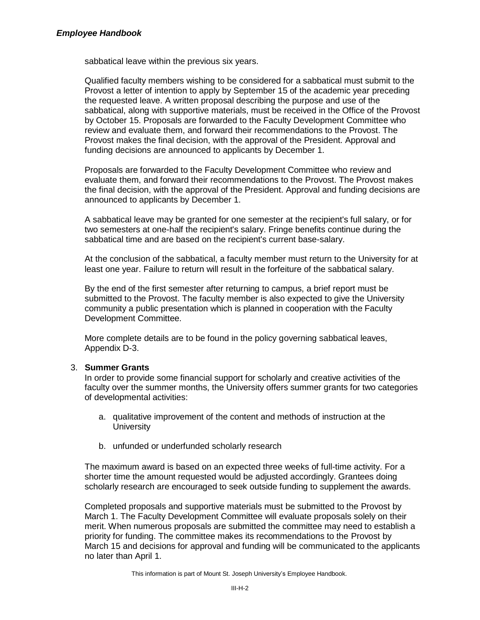sabbatical leave within the previous six years.

Qualified faculty members wishing to be considered for a sabbatical must submit to the Provost a letter of intention to apply by September 15 of the academic year preceding the requested leave. A written proposal describing the purpose and use of the sabbatical, along with supportive materials, must be received in the Office of the Provost by October 15. Proposals are forwarded to the Faculty Development Committee who review and evaluate them, and forward their recommendations to the Provost. The Provost makes the final decision, with the approval of the President. Approval and funding decisions are announced to applicants by December 1.

Proposals are forwarded to the Faculty Development Committee who review and evaluate them, and forward their recommendations to the Provost. The Provost makes the final decision, with the approval of the President. Approval and funding decisions are announced to applicants by December 1.

A sabbatical leave may be granted for one semester at the recipient's full salary, or for two semesters at one-half the recipient's salary. Fringe benefits continue during the sabbatical time and are based on the recipient's current base-salary.

At the conclusion of the sabbatical, a faculty member must return to the University for at least one year. Failure to return will result in the forfeiture of the sabbatical salary.

By the end of the first semester after returning to campus, a brief report must be submitted to the Provost. The faculty member is also expected to give the University community a public presentation which is planned in cooperation with the Faculty Development Committee.

More complete details are to be found in the policy governing sabbatical leaves, Appendix D-3.

## 3. **Summer Grants**

In order to provide some financial support for scholarly and creative activities of the faculty over the summer months, the University offers summer grants for two categories of developmental activities:

- a. qualitative improvement of the content and methods of instruction at the **University**
- b. unfunded or underfunded scholarly research

The maximum award is based on an expected three weeks of full-time activity. For a shorter time the amount requested would be adjusted accordingly. Grantees doing scholarly research are encouraged to seek outside funding to supplement the awards.

Completed proposals and supportive materials must be submitted to the Provost by March 1. The Faculty Development Committee will evaluate proposals solely on their merit. When numerous proposals are submitted the committee may need to establish a priority for funding. The committee makes its recommendations to the Provost by March 15 and decisions for approval and funding will be communicated to the applicants no later than April 1.